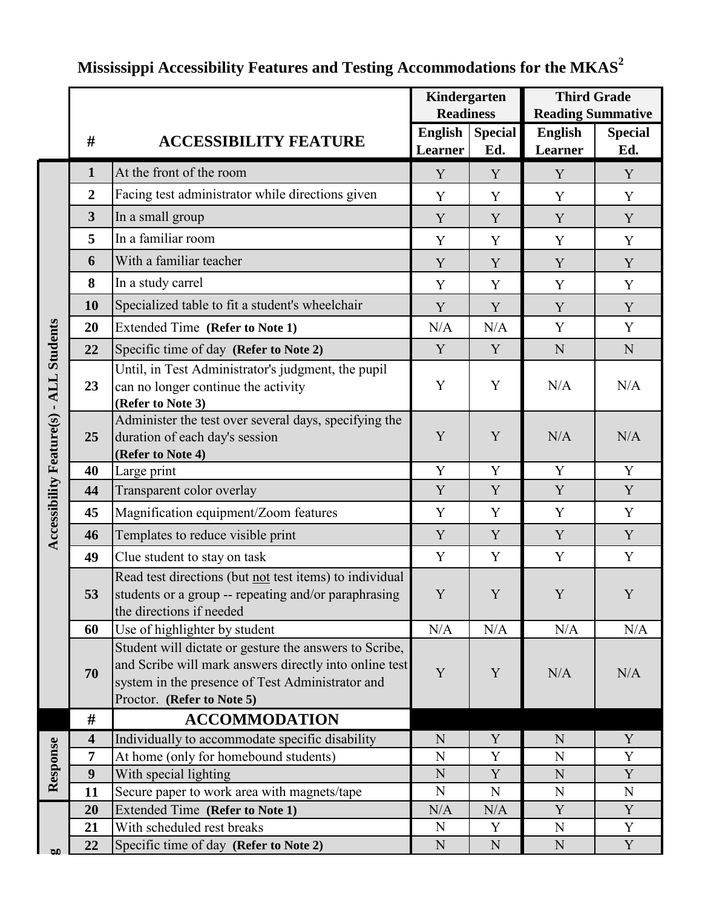|                                   |                         | Kindergarten<br><b>Readiness</b>                                                                                                                                                                   |                                  |                       | <b>Third Grade</b><br><b>Reading Summative</b> |                       |
|-----------------------------------|-------------------------|----------------------------------------------------------------------------------------------------------------------------------------------------------------------------------------------------|----------------------------------|-----------------------|------------------------------------------------|-----------------------|
|                                   | #                       | <b>ACCESSIBILITY FEATURE</b>                                                                                                                                                                       | <b>English</b><br><b>Learner</b> | <b>Special</b><br>Ed. | <b>English</b><br><b>Learner</b>               | <b>Special</b><br>Ed. |
|                                   | $\mathbf{1}$            | At the front of the room                                                                                                                                                                           | Y                                | Y                     | Y                                              | Y                     |
|                                   | $\overline{2}$          | Facing test administrator while directions given                                                                                                                                                   | Y                                | Y                     | Y                                              | Y                     |
|                                   | $\overline{\mathbf{3}}$ | In a small group                                                                                                                                                                                   | Y                                | Y                     | Y                                              | Y                     |
|                                   | 5                       | In a familiar room                                                                                                                                                                                 | Y                                | Y                     | Y                                              | Y                     |
|                                   | 6                       | With a familiar teacher                                                                                                                                                                            | Y                                | Y                     | Y                                              | Y                     |
|                                   | 8                       | In a study carrel                                                                                                                                                                                  | Y                                | Y                     | Y                                              | Y                     |
|                                   | 10                      | Specialized table to fit a student's wheelchair                                                                                                                                                    | Y                                | Y                     | Y                                              | Y                     |
|                                   | 20                      | Extended Time (Refer to Note 1)                                                                                                                                                                    | N/A                              | N/A                   | Y                                              | Y                     |
| <b>Students</b>                   | 22                      | Specific time of day (Refer to Note 2)                                                                                                                                                             | Y                                | Y                     | N                                              | N                     |
| ALL<br>Accessibility Feature(s) - | 23                      | Until, in Test Administrator's judgment, the pupil<br>can no longer continue the activity<br>(Refer to Note 3)                                                                                     | Y                                | Y                     | N/A                                            | N/A                   |
|                                   | 25                      | Administer the test over several days, specifying the<br>duration of each day's session<br>(Refer to Note 4)                                                                                       | Y                                | Y                     | N/A                                            | N/A                   |
|                                   | 40                      | Large print                                                                                                                                                                                        | Y                                | Y                     | Y                                              | Y                     |
|                                   | 44                      | Transparent color overlay                                                                                                                                                                          | Y                                | Y                     | Y                                              | Y                     |
|                                   | 45                      | Magnification equipment/Zoom features                                                                                                                                                              | Y                                | Y                     | Y                                              | Y                     |
|                                   | 46                      | Templates to reduce visible print                                                                                                                                                                  | Y                                | Y                     | Y                                              | Y                     |
|                                   | 49                      | Clue student to stay on task                                                                                                                                                                       | Y                                | Y                     | Y                                              | Y                     |
|                                   | 53                      | Read test directions (but not test items) to individual<br>students or a group -- repeating and/or paraphrasing<br>the directions if needed                                                        | Y                                | Y                     | Y                                              | Y                     |
|                                   | 60                      | Use of highlighter by student                                                                                                                                                                      | N/A                              | N/A                   | N/A                                            | N/A                   |
|                                   | 70                      | Student will dictate or gesture the answers to Scribe,<br>and Scribe will mark answers directly into online test<br>system in the presence of Test Administrator and<br>Proctor. (Refer to Note 5) | Y                                | Y                     | N/A                                            | N/A                   |
|                                   | #                       | <b>ACCOMMODATION</b>                                                                                                                                                                               |                                  |                       |                                                |                       |
|                                   | $\overline{\mathbf{4}}$ | Individually to accommodate specific disability                                                                                                                                                    | N                                | Y                     | N                                              | Y                     |
| Response                          | $\overline{7}$          | At home (only for homebound students)                                                                                                                                                              | N                                | Y                     | $\mathbf N$                                    | Y                     |
|                                   | 9                       | With special lighting                                                                                                                                                                              | ${\bf N}$                        | Y                     | N                                              | Y                     |
|                                   | 11                      | Secure paper to work area with magnets/tape                                                                                                                                                        | ${\bf N}$                        | $\mathbf N$           | N                                              | $\mathbf N$<br>Y      |
| 60                                | 20<br>21                | <b>Extended Time (Refer to Note 1)</b><br>With scheduled rest breaks                                                                                                                               | N/A<br>N                         | N/A<br>Y              | Y<br>$\mathbf N$                               | Y                     |
|                                   | 22                      | Specific time of day (Refer to Note 2)                                                                                                                                                             | ${\bf N}$                        | N                     | ${\bf N}$                                      | Y                     |
|                                   |                         |                                                                                                                                                                                                    |                                  |                       |                                                |                       |

# **Mississippi Accessibility Features and Testing Accommodations for the MKAS<sup>2</sup>**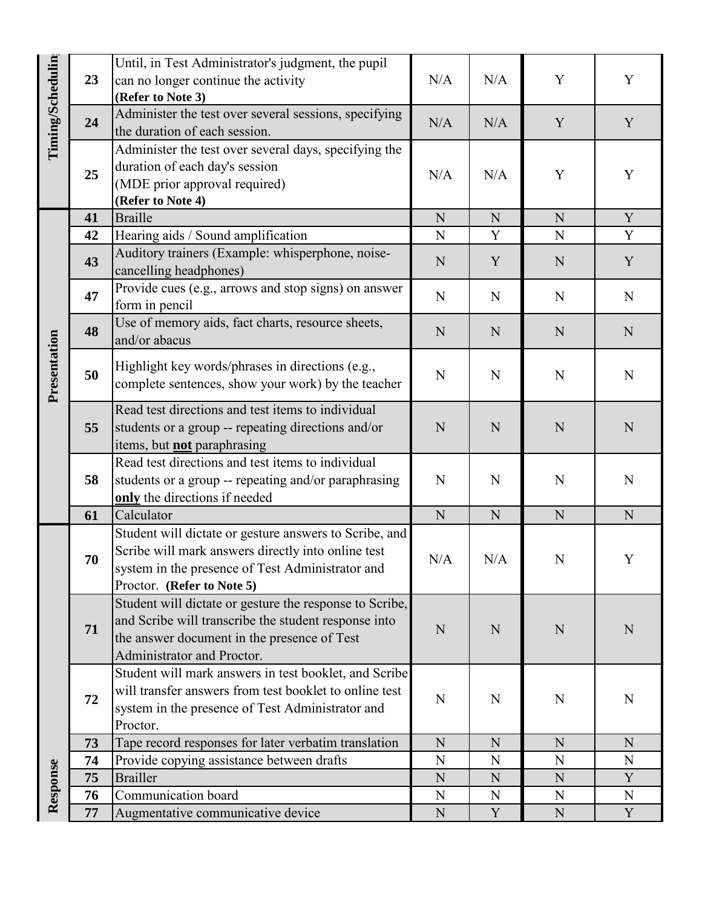|                  | 23       | Until, in Test Administrator's judgment, the pupil                                                              |           |     |             |             |
|------------------|----------|-----------------------------------------------------------------------------------------------------------------|-----------|-----|-------------|-------------|
|                  |          | can no longer continue the activity                                                                             | N/A       | N/A | Y           | Y           |
|                  |          | (Refer to Note 3)                                                                                               |           |     |             |             |
| Timing/Schedulin | 24       | Administer the test over several sessions, specifying                                                           |           |     |             |             |
|                  |          | the duration of each session.                                                                                   | N/A       | N/A | Y           | Y           |
|                  |          |                                                                                                                 |           |     |             |             |
|                  | 25       | Administer the test over several days, specifying the                                                           |           |     |             |             |
|                  |          | duration of each day's session                                                                                  | N/A       | N/A | Y           | Y           |
|                  |          | (MDE prior approval required)                                                                                   |           |     |             |             |
|                  |          | (Refer to Note 4)                                                                                               |           |     |             |             |
|                  | 41       | <b>Braille</b>                                                                                                  | ${\bf N}$ | N   | N           | $\mathbf Y$ |
|                  | 42       | Hearing aids / Sound amplification                                                                              | ${\bf N}$ | Y   | $\mathbf N$ | $\mathbf Y$ |
|                  | 43       | Auditory trainers (Example: whisperphone, noise-                                                                | N         | Y   | N           | Y           |
|                  |          | cancelling headphones)                                                                                          |           |     |             |             |
|                  | 47       | Provide cues (e.g., arrows and stop signs) on answer                                                            | ${\bf N}$ | N   | $\mathbf N$ | N           |
|                  |          | form in pencil                                                                                                  |           |     |             |             |
|                  | 48       | Use of memory aids, fact charts, resource sheets,                                                               | N         | N   | N           | N           |
|                  |          | and/or abacus                                                                                                   |           |     |             |             |
| Presentation     |          | Highlight key words/phrases in directions (e.g.,                                                                |           |     |             |             |
|                  | 50       | complete sentences, show your work) by the teacher                                                              | N         | N   | N           | N           |
|                  |          |                                                                                                                 |           |     |             |             |
|                  | 55       | Read test directions and test items to individual                                                               |           |     |             |             |
|                  |          | students or a group -- repeating directions and/or                                                              | N         | N   | N           | N           |
|                  |          | items, but <b>not</b> paraphrasing                                                                              |           |     |             |             |
|                  | 58       | Read test directions and test items to individual                                                               |           |     |             |             |
|                  |          | students or a group -- repeating and/or paraphrasing                                                            | N         | N   | N           | N           |
|                  |          | only the directions if needed                                                                                   |           |     |             |             |
|                  | 61       | Calculator                                                                                                      | N         | N   | N           | N           |
|                  | 70<br>71 | Student will dictate or gesture answers to Scribe, and                                                          |           |     |             |             |
|                  |          | Scribe will mark answers directly into online test                                                              |           |     |             |             |
|                  |          | system in the presence of Test Administrator and                                                                | N/A       | N/A | N           | Y           |
|                  |          | Proctor. (Refer to Note 5)                                                                                      |           |     |             |             |
|                  |          | Student will dictate or gesture the response to Scribe,                                                         |           |     |             |             |
|                  |          | and Scribe will transcribe the student response into                                                            |           |     |             |             |
|                  |          | the answer document in the presence of Test                                                                     | N         | N   | N           | N           |
|                  |          | Administrator and Proctor.                                                                                      |           |     |             |             |
|                  |          |                                                                                                                 |           |     |             |             |
|                  | 72       | Student will mark answers in test booklet, and Scribe<br>will transfer answers from test booklet to online test |           |     |             |             |
|                  |          |                                                                                                                 | N         | N   | N           | N           |
|                  |          | system in the presence of Test Administrator and                                                                |           |     |             |             |
| Response         |          | Proctor.                                                                                                        |           |     |             |             |
|                  | 73       | Tape record responses for later verbatim translation                                                            | ${\bf N}$ | N   | N           | N           |
|                  | 74       | Provide copying assistance between drafts                                                                       | ${\bf N}$ | N   | $\mathbf N$ | $\mathbf N$ |
|                  | 75       | <b>Brailler</b>                                                                                                 | ${\bf N}$ | N   | N           | Y           |
|                  | 76       | Communication board                                                                                             | N         | N   | $\mathbf N$ | N           |
|                  | 77       | Augmentative communicative device                                                                               | N         | Y   | $\mathbf N$ | Y           |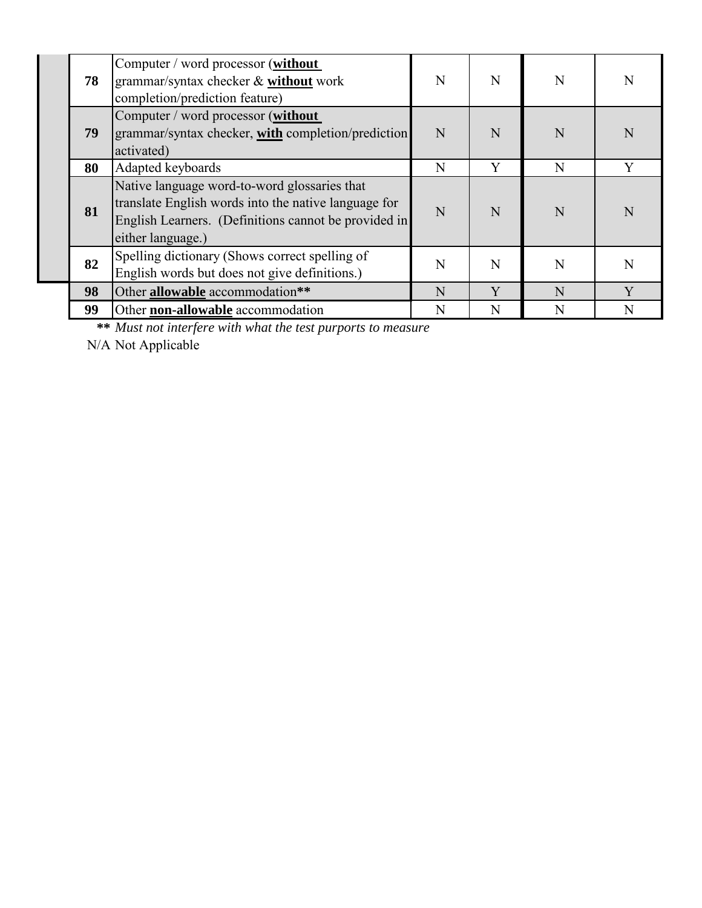|  | 78 | Computer / word processor (without<br>grammar/syntax checker & without work<br>completion/prediction feature)                                                                     | N | N | N | N |
|--|----|-----------------------------------------------------------------------------------------------------------------------------------------------------------------------------------|---|---|---|---|
|  | 79 | Computer / word processor (without<br>grammar/syntax checker, with completion/prediction<br>activated)                                                                            | N | N | N | N |
|  | 80 | Adapted keyboards                                                                                                                                                                 | N | Y | N | Y |
|  | 81 | Native language word-to-word glossaries that<br>translate English words into the native language for<br>English Learners. (Definitions cannot be provided in<br>either language.) | N | N | N | N |
|  | 82 | Spelling dictionary (Shows correct spelling of<br>English words but does not give definitions.)                                                                                   | N | N | N | N |
|  | 98 | Other <b>allowable</b> accommodation**                                                                                                                                            | N | Y | N | Y |
|  | 99 | Other non-allowable accommodation                                                                                                                                                 | N | N | N | N |

**\*\*** *Must not interfere with what the test purports to measure*

N/A Not Applicable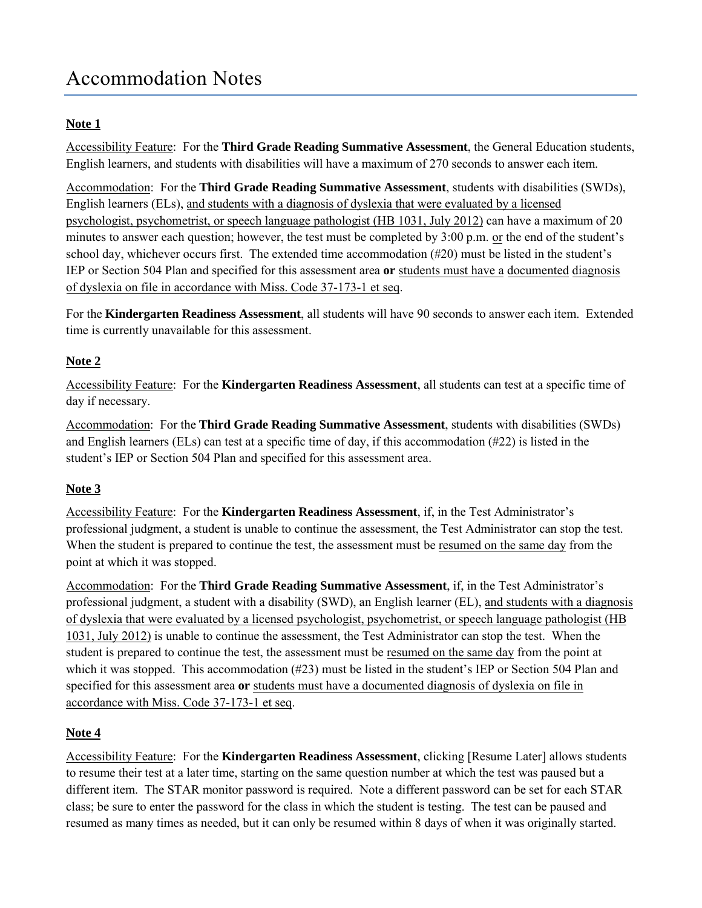## Accommodation Notes

### **Note 1**

Accessibility Feature: For the **Third Grade Reading Summative Assessment**, the General Education students, English learners, and students with disabilities will have a maximum of 270 seconds to answer each item.

Accommodation: For the **Third Grade Reading Summative Assessment**, students with disabilities (SWDs), English learners (ELs), and students with a diagnosis of dyslexia that were evaluated by a licensed psychologist, psychometrist, or speech language pathologist (HB 1031, July 2012) can have a maximum of 20 minutes to answer each question; however, the test must be completed by 3:00 p.m. or the end of the student's school day, whichever occurs first. The extended time accommodation (#20) must be listed in the student's IEP or Section 504 Plan and specified for this assessment area **or** students must have a documented diagnosis of dyslexia on file in accordance with Miss. Code 37-173-1 et seq.

For the **Kindergarten Readiness Assessment**, all students will have 90 seconds to answer each item. Extended time is currently unavailable for this assessment.

#### **Note 2**

Accessibility Feature: For the **Kindergarten Readiness Assessment**, all students can test at a specific time of day if necessary.

Accommodation: For the **Third Grade Reading Summative Assessment**, students with disabilities (SWDs) and English learners (ELs) can test at a specific time of day, if this accommodation (#22) is listed in the student's IEP or Section 504 Plan and specified for this assessment area.

#### **Note 3**

Accessibility Feature: For the **Kindergarten Readiness Assessment**, if, in the Test Administrator's professional judgment, a student is unable to continue the assessment, the Test Administrator can stop the test. When the student is prepared to continue the test, the assessment must be resumed on the same day from the point at which it was stopped.

Accommodation: For the **Third Grade Reading Summative Assessment**, if, in the Test Administrator's professional judgment, a student with a disability (SWD), an English learner (EL), and students with a diagnosis of dyslexia that were evaluated by a licensed psychologist, psychometrist, or speech language pathologist (HB 1031, July 2012) is unable to continue the assessment, the Test Administrator can stop the test. When the student is prepared to continue the test, the assessment must be resumed on the same day from the point at which it was stopped. This accommodation (#23) must be listed in the student's IEP or Section 504 Plan and specified for this assessment area **or** students must have a documented diagnosis of dyslexia on file in accordance with Miss. Code 37-173-1 et seq.

#### **Note 4**

Accessibility Feature: For the **Kindergarten Readiness Assessment**, clicking [Resume Later] allows students to resume their test at a later time, starting on the same question number at which the test was paused but a different item. The STAR monitor password is required. Note a different password can be set for each STAR class; be sure to enter the password for the class in which the student is testing. The test can be paused and resumed as many times as needed, but it can only be resumed within 8 days of when it was originally started.